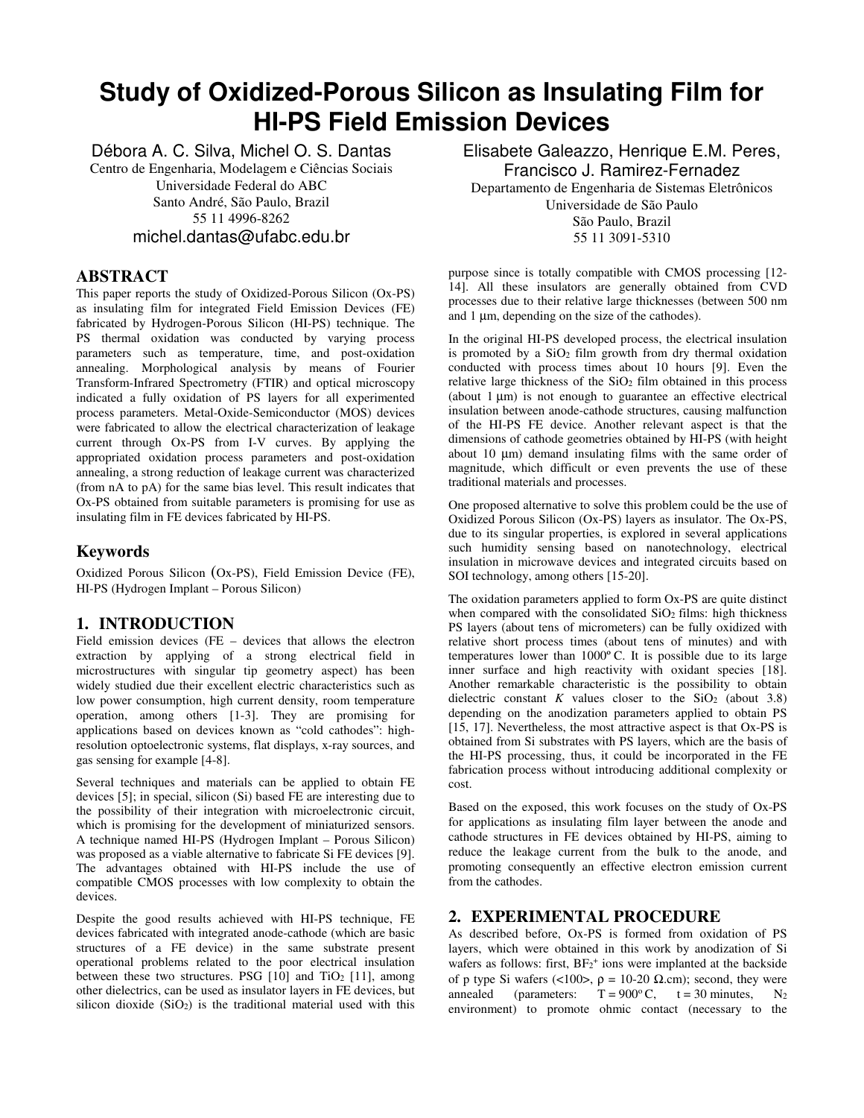# **Study of Oxidized-Porous Silicon as Insulating Film for HI-PS Field Emission Devices**

Débora A. C. Silva, Michel O. S. Dantas Centro de Engenharia, Modelagem e Ciências Sociais Universidade Federal do ABC Santo André, São Paulo, Brazil 55 11 4996-8262 michel.dantas@ufabc.edu.br

# **ABSTRACT**

This paper reports the study of Oxidized-Porous Silicon (Ox-PS) as insulating film for integrated Field Emission Devices (FE) fabricated by Hydrogen-Porous Silicon (HI-PS) technique. The PS thermal oxidation was conducted by varying process parameters such as temperature, time, and post-oxidation annealing. Morphological analysis by means of Fourier Transform-Infrared Spectrometry (FTIR) and optical microscopy indicated a fully oxidation of PS layers for all experimented process parameters. Metal-Oxide-Semiconductor (MOS) devices were fabricated to allow the electrical characterization of leakage current through Ox-PS from I-V curves. By applying the appropriated oxidation process parameters and post-oxidation annealing, a strong reduction of leakage current was characterized (from nA to pA) for the same bias level. This result indicates that Ox-PS obtained from suitable parameters is promising for use as insulating film in FE devices fabricated by HI-PS.

# **Keywords**

Oxidized Porous Silicon (Ox-PS), Field Emission Device (FE), HI-PS (Hydrogen Implant – Porous Silicon)

# **1. INTRODUCTION**

Field emission devices (FE – devices that allows the electron extraction by applying of a strong electrical field in microstructures with singular tip geometry aspect) has been widely studied due their excellent electric characteristics such as low power consumption, high current density, room temperature operation, among others [1-3]. They are promising for applications based on devices known as "cold cathodes": highresolution optoelectronic systems, flat displays, x-ray sources, and gas sensing for example [4-8].

Several techniques and materials can be applied to obtain FE devices [5]; in special, silicon (Si) based FE are interesting due to the possibility of their integration with microelectronic circuit, which is promising for the development of miniaturized sensors. A technique named HI-PS (Hydrogen Implant – Porous Silicon) was proposed as a viable alternative to fabricate Si FE devices [9]. The advantages obtained with HI-PS include the use of compatible CMOS processes with low complexity to obtain the devices.

Despite the good results achieved with HI-PS technique, FE devices fabricated with integrated anode-cathode (which are basic structures of a FE device) in the same substrate present operational problems related to the poor electrical insulation between these two structures. PSG  $[10]$  and TiO<sub>2</sub>  $[11]$ , among other dielectrics, can be used as insulator layers in FE devices, but silicon dioxide  $(SiO<sub>2</sub>)$  is the traditional material used with this

Elisabete Galeazzo, Henrique E.M. Peres, Francisco J. Ramirez-Fernadez Departamento de Engenharia de Sistemas Eletrônicos Universidade de São Paulo

> São Paulo, Brazil 55 11 3091-5310

purpose since is totally compatible with CMOS processing [12- 14]. All these insulators are generally obtained from CVD processes due to their relative large thicknesses (between 500 nm and 1 µm, depending on the size of the cathodes).

In the original HI-PS developed process, the electrical insulation is promoted by a  $SiO<sub>2</sub>$  film growth from dry thermal oxidation conducted with process times about 10 hours [9]. Even the relative large thickness of the  $SiO<sub>2</sub>$  film obtained in this process (about 1 µm) is not enough to guarantee an effective electrical insulation between anode-cathode structures, causing malfunction of the HI-PS FE device. Another relevant aspect is that the dimensions of cathode geometries obtained by HI-PS (with height about 10  $\mu$ m) demand insulating films with the same order of magnitude, which difficult or even prevents the use of these traditional materials and processes.

One proposed alternative to solve this problem could be the use of Oxidized Porous Silicon (Ox-PS) layers as insulator. The Ox-PS, due to its singular properties, is explored in several applications such humidity sensing based on nanotechnology, electrical insulation in microwave devices and integrated circuits based on SOI technology, among others [15-20].

The oxidation parameters applied to form Ox-PS are quite distinct when compared with the consolidated  $SiO<sub>2</sub>$  films: high thickness PS layers (about tens of micrometers) can be fully oxidized with relative short process times (about tens of minutes) and with temperatures lower than 1000º C. It is possible due to its large inner surface and high reactivity with oxidant species [18]. Another remarkable characteristic is the possibility to obtain dielectric constant  $K$  values closer to the SiO<sub>2</sub> (about 3.8) depending on the anodization parameters applied to obtain PS [15, 17]. Nevertheless, the most attractive aspect is that Ox-PS is obtained from Si substrates with PS layers, which are the basis of the HI-PS processing, thus, it could be incorporated in the FE fabrication process without introducing additional complexity or cost.

Based on the exposed, this work focuses on the study of Ox-PS for applications as insulating film layer between the anode and cathode structures in FE devices obtained by HI-PS, aiming to reduce the leakage current from the bulk to the anode, and promoting consequently an effective electron emission current from the cathodes.

# **2. EXPERIMENTAL PROCEDURE**

As described before, Ox-PS is formed from oxidation of PS layers, which were obtained in this work by anodization of Si wafers as follows: first,  $BF_2^+$  ions were implanted at the backside of p type Si wafers (<100>,  $ρ = 10-20$  Ω.cm); second, they were<br>annealed (parameters: T = 900°C, t = 30 minutes, N<sub>2</sub> annealed (parameters:  $T = 900^{\circ}$  C,  $t = 30$  minutes, N<sub>2</sub> environment) to promote ohmic contact (necessary to the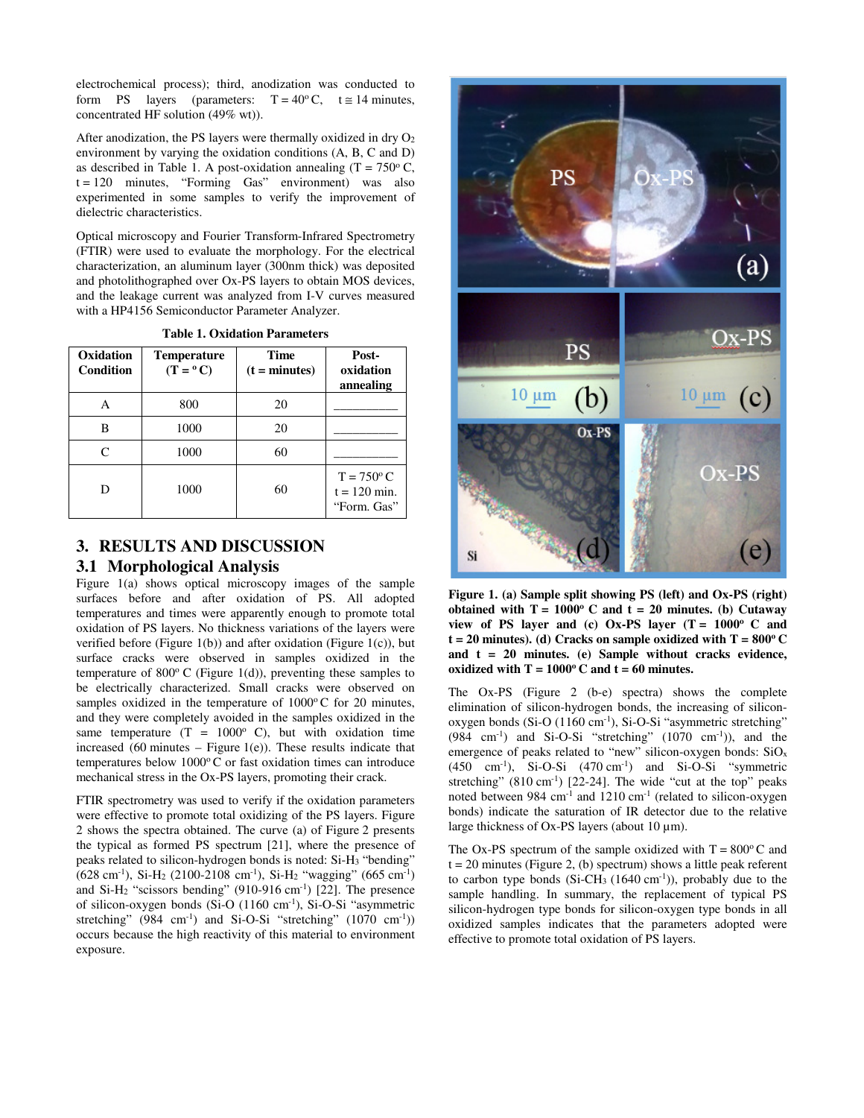electrochemical process); third, anodization was conducted to form PS layers (parameters:  $T = 40^{\circ}$ C,  $t \approx 14$  minutes, concentrated HF solution (49% wt)).

After anodization, the PS layers were thermally oxidized in dry  $O<sub>2</sub>$ environment by varying the oxidation conditions (A, B, C and D) as described in Table 1. A post-oxidation annealing  $(T = 750^{\circ} C,$  $t = 120$  minutes, "Forming Gas" environment) was also experimented in some samples to verify the improvement of dielectric characteristics.

Optical microscopy and Fourier Transform-Infrared Spectrometry (FTIR) were used to evaluate the morphology. For the electrical characterization, an aluminum layer (300nm thick) was deposited and photolithographed over Ox-PS layers to obtain MOS devices, and the leakage current was analyzed from I-V curves measured with a HP4156 Semiconductor Parameter Analyzer.

| Oxidation<br><b>Condition</b> | <b>Temperature</b><br>$(T = {}^{\circ}C)$ | <b>Time</b><br>$(t = minutes)$ | Post-<br>oxidation<br>annealing                      |
|-------------------------------|-------------------------------------------|--------------------------------|------------------------------------------------------|
| А                             | 800                                       | 20                             |                                                      |
| В                             | 1000                                      | 20                             |                                                      |
| $\subset$                     | 1000                                      | 60                             |                                                      |
| D                             | 1000                                      | 60                             | $T = 750^{\circ}$ C<br>$t = 120$ min.<br>"Form. Gas" |

**Table 1. Oxidation Parameters** 

# **3. RESULTS AND DISCUSSION 3.1 Morphological Analysis**

Figure 1(a) shows optical microscopy images of the sample surfaces before and after oxidation of PS. All adopted temperatures and times were apparently enough to promote total oxidation of PS layers. No thickness variations of the layers were verified before (Figure 1(b)) and after oxidation (Figure 1(c)), but surface cracks were observed in samples oxidized in the temperature of 800 $\degree$ C (Figure 1(d)), preventing these samples to be electrically characterized. Small cracks were observed on samples oxidized in the temperature of  $1000^{\circ}$ C for 20 minutes, and they were completely avoided in the samples oxidized in the same temperature  $(T = 1000^{\circ} \text{ C})$ , but with oxidation time increased  $(60 \text{ minutes} - \text{Figure 1(e)})$ . These results indicate that temperatures below 1000°C or fast oxidation times can introduce mechanical stress in the Ox-PS layers, promoting their crack.

FTIR spectrometry was used to verify if the oxidation parameters were effective to promote total oxidizing of the PS layers. Figure 2 shows the spectra obtained. The curve (a) of Figure 2 presents the typical as formed PS spectrum [21], where the presence of peaks related to silicon-hydrogen bonds is noted: Si-H3 "bending"  $(628 \text{ cm}^{-1})$ , Si-H<sub>2</sub> (2100-2108 cm<sup>-1</sup>), Si-H<sub>2</sub> "wagging" (665 cm<sup>-1</sup>) and Si-H<sub>2</sub> "scissors bending" (910-916 cm<sup>-1</sup>) [22]. The presence of silicon-oxygen bonds (Si-O (1160 cm-1), Si-O-Si "asymmetric stretching" (984 cm<sup>-1</sup>) and Si-O-Si "stretching" (1070 cm<sup>-1</sup>)) occurs because the high reactivity of this material to environment exposure.



**Figure 1. (a) Sample split showing PS (left) and Ox-PS (right) obtained with**  $T = 1000$ **<sup>o</sup> C and**  $t = 20$  **minutes. (b) Cutaway** view of PS layer and (c) Ox-PS layer  $(T = 1000$ <sup>o</sup> C and  $t = 20$  minutes). (d) Cracks on sample oxidized with  $T = 800^{\circ}$  C **and t = 20 minutes. (e) Sample without cracks evidence,**  oxidized with  $T = 1000$ <sup>o</sup> C and  $t = 60$  minutes.

The Ox-PS (Figure 2 (b-e) spectra) shows the complete elimination of silicon-hydrogen bonds, the increasing of siliconoxygen bonds (Si-O (1160 cm<sup>-1</sup>), Si-O-Si "asymmetric stretching"  $(984 \text{ cm}^{-1})$  and Si-O-Si "stretching"  $(1070 \text{ cm}^{-1})$ ), and the emergence of peaks related to "new" silicon-oxygen bonds: SiO<sub>x</sub> (450 cm-1), Si-O-Si (470 cm-1) and Si-O-Si "symmetric stretching"  $(810 \text{ cm}^{-1})$  [22-24]. The wide "cut at the top" peaks noted between 984 cm<sup>-1</sup> and 1210 cm<sup>-1</sup> (related to silicon-oxygen bonds) indicate the saturation of IR detector due to the relative large thickness of Ox-PS layers (about 10  $\mu$ m).

The Ox-PS spectrum of the sample oxidized with  $T = 800^{\circ}$ C and  $t = 20$  minutes (Figure 2, (b) spectrum) shows a little peak referent to carbon type bonds  $(Si-CH_3 (1640 \text{ cm}^{-1}))$ , probably due to the sample handling. In summary, the replacement of typical PS silicon-hydrogen type bonds for silicon-oxygen type bonds in all oxidized samples indicates that the parameters adopted were effective to promote total oxidation of PS layers.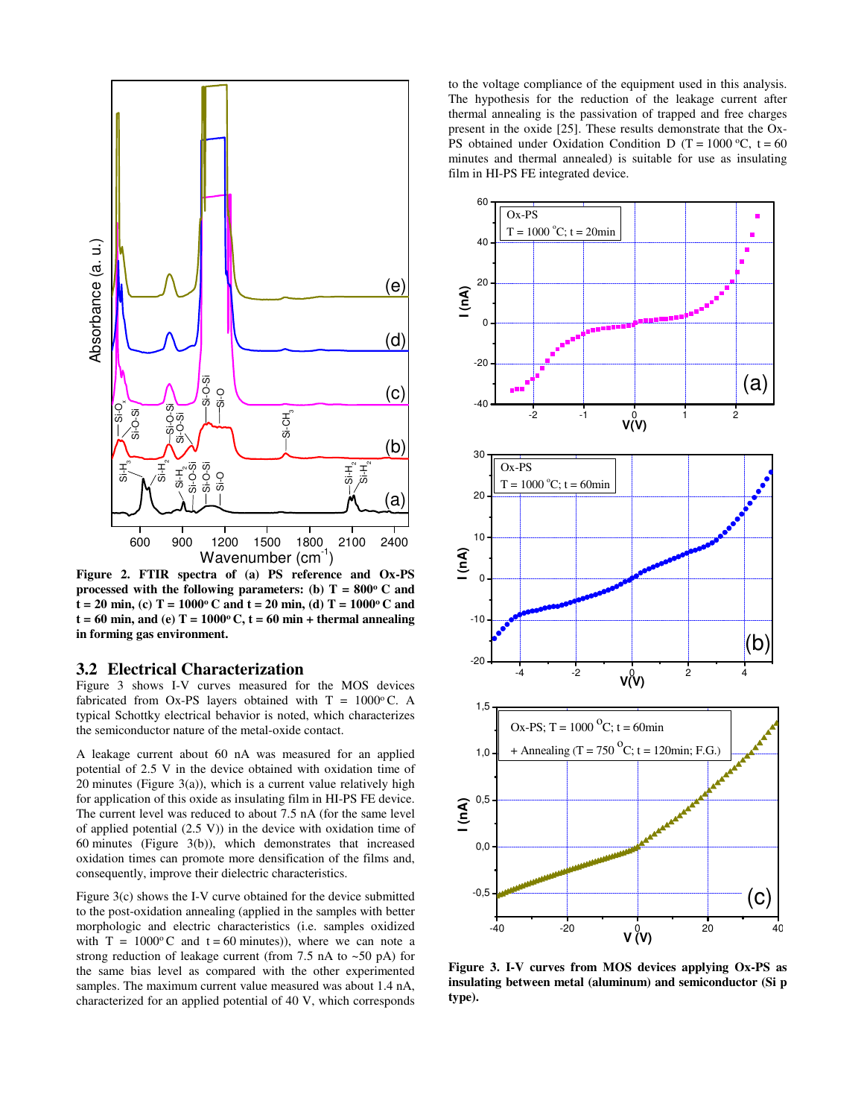

**Figure 2. FTIR spectra of (a) PS reference and Ox-PS processed with the following parameters: (b)**  $T = 800^{\circ}$  **C and**  $t = 20$  min, (c)  $T = 1000$ <sup>o</sup> C and  $t = 20$  min, (d)  $T = 1000$ <sup>o</sup> C and  $t = 60$  min, and (e)  $T = 1000$ <sup>o</sup> C,  $t = 60$  min + thermal annealing **in forming gas environment.** 

### **3.2 Electrical Characterization**

Figure 3 shows I-V curves measured for the MOS devices fabricated from Ox-PS layers obtained with  $T = 1000$ °C. A typical Schottky electrical behavior is noted, which characterizes the semiconductor nature of the metal-oxide contact.

A leakage current about 60 nA was measured for an applied potential of 2.5 V in the device obtained with oxidation time of 20 minutes (Figure 3(a)), which is a current value relatively high for application of this oxide as insulating film in HI-PS FE device. The current level was reduced to about 7.5 nA (for the same level of applied potential (2.5 V)) in the device with oxidation time of 60 minutes (Figure 3(b)), which demonstrates that increased oxidation times can promote more densification of the films and, consequently, improve their dielectric characteristics.

Figure 3(c) shows the I-V curve obtained for the device submitted to the post-oxidation annealing (applied in the samples with better morphologic and electric characteristics (i.e. samples oxidized with  $T = 1000^{\circ}$ C and  $t = 60$  minutes)), where we can note a strong reduction of leakage current (from 7.5 nA to ~50 pA) for the same bias level as compared with the other experimented samples. The maximum current value measured was about 1.4 nA, characterized for an applied potential of 40 V, which corresponds to the voltage compliance of the equipment used in this analysis. The hypothesis for the reduction of the leakage current after thermal annealing is the passivation of trapped and free charges present in the oxide [25]. These results demonstrate that the Ox-PS obtained under Oxidation Condition D (T =  $1000 \, \text{°C}$ , t = 60 minutes and thermal annealed) is suitable for use as insulating film in HI-PS FE integrated device.



**Figure 3. I-V curves from MOS devices applying Ox-PS as insulating between metal (aluminum) and semiconductor (Si p type).**